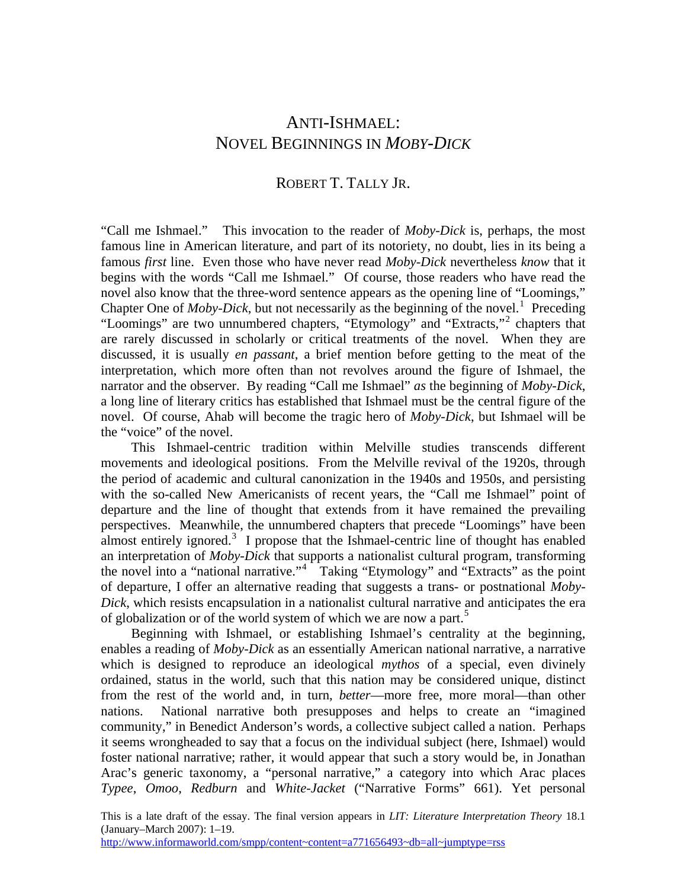# ANTI-ISHMAEL: NOVEL BEGINNINGS IN *MOBY-DICK*

## ROBERT T. TALLY JR.

"Call me Ishmael." This invocation to the reader of *Moby-Dick* is, perhaps, the most famous line in American literature, and part of its notoriety, no doubt, lies in its being a famous *first* line. Even those who have never read *Moby-Dick* nevertheless *know* that it begins with the words "Call me Ishmael." Of course, those readers who have read the novel also know that the three-word sentence appears as the opening line of "Loomings," Chapter One of  $Moby-Dick$ , but not necessarily as the beginning of the novel.<sup>[1](#page-14-0)</sup> Preceding "Loomings" are two unnumbered chapters, "Etymology" and "Extracts,"<sup>[2](#page-14-1)</sup> chapters that are rarely discussed in scholarly or critical treatments of the novel. When they are discussed, it is usually *en passant*, a brief mention before getting to the meat of the interpretation, which more often than not revolves around the figure of Ishmael, the narrator and the observer. By reading "Call me Ishmael" *as* the beginning of *Moby-Dick*, a long line of literary critics has established that Ishmael must be the central figure of the novel. Of course, Ahab will become the tragic hero of *Moby-Dick*, but Ishmael will be the "voice" of the novel.

 This Ishmael-centric tradition within Melville studies transcends different movements and ideological positions. From the Melville revival of the 1920s, through the period of academic and cultural canonization in the 1940s and 1950s, and persisting with the so-called New Americanists of recent years, the "Call me Ishmael" point of departure and the line of thought that extends from it have remained the prevailing perspectives. Meanwhile, the unnumbered chapters that precede "Loomings" have been almost entirely ignored.<sup>[3](#page-14-1)</sup> I propose that the Ishmael-centric line of thought has enabled an interpretation of *Moby-Dick* that supports a nationalist cultural program, transforming the novel into a "national narrative."[4](#page-14-1) Taking "Etymology" and "Extracts" as the point of departure, I offer an alternative reading that suggests a trans- or postnational *Moby-Dick*, which resists encapsulation in a nationalist cultural narrative and anticipates the era of globalization or of the world system of which we are now a part.<sup>[5](#page-14-1)</sup>

 Beginning with Ishmael, or establishing Ishmael's centrality at the beginning, enables a reading of *Moby-Dick* as an essentially American national narrative, a narrative which is designed to reproduce an ideological *mythos* of a special, even divinely ordained, status in the world, such that this nation may be considered unique, distinct from the rest of the world and, in turn, *better*—more free, more moral—than other nations. National narrative both presupposes and helps to create an "imagined community," in Benedict Anderson's words, a collective subject called a nation. Perhaps it seems wrongheaded to say that a focus on the individual subject (here, Ishmael) would foster national narrative; rather, it would appear that such a story would be, in Jonathan Arac's generic taxonomy, a "personal narrative," a category into which Arac places *Typee*, *Omoo*, *Redburn* and *White-Jacket* ("Narrative Forms" 661). Yet personal

This is a late draft of the essay. The final version appears in *LIT: Literature Interpretation Theory* 18.1 (January–March 2007): 1–19.

http://www.informaworld.com/smpp/content~content=a771656493~db=all~jumptype=rss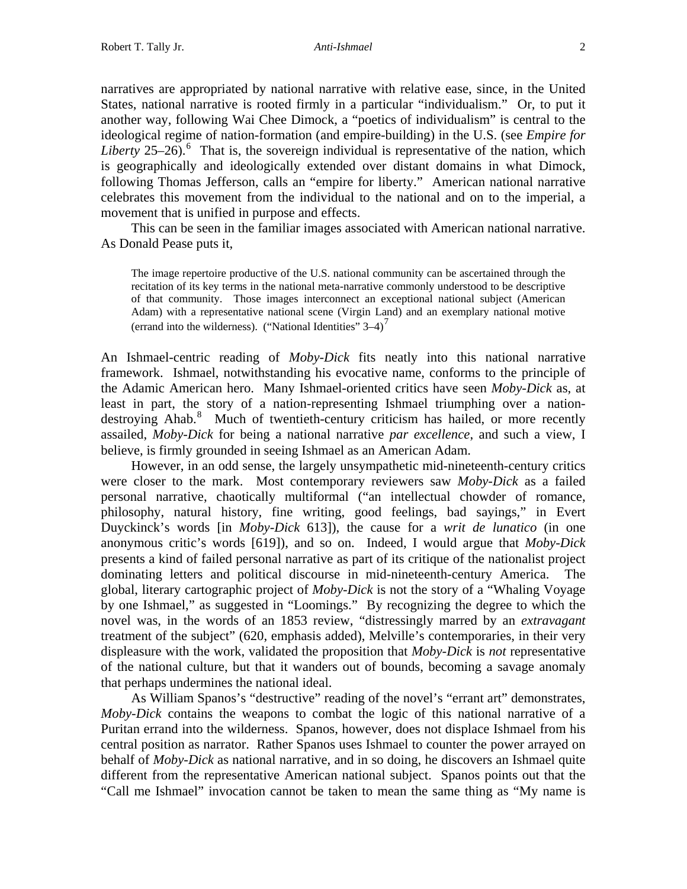narratives are appropriated by national narrative with relative ease, since, in the United States, national narrative is rooted firmly in a particular "individualism." Or, to put it another way, following Wai Chee Dimock, a "poetics of individualism" is central to the ideological regime of nation-formation (and empire-building) in the U.S. (see *Empire for*  Liberty  $25-26$  $25-26$ <sup>6</sup>. That is, the sovereign individual is representative of the nation, which is geographically and ideologically extended over distant domains in what Dimock, following Thomas Jefferson, calls an "empire for liberty." American national narrative celebrates this movement from the individual to the national and on to the imperial, a movement that is unified in purpose and effects.

 This can be seen in the familiar images associated with American national narrative. As Donald Pease puts it,

The image repertoire productive of the U.S. national community can be ascertained through the recitation of its key terms in the national meta-narrative commonly understood to be descriptive of that community. Those images interconnect an exceptional national subject (American Adam) with a representative national scene (Virgin Land) and an exemplary national motive (errand into the wilderness). ("National Identities"  $3-4$ )<sup> $\prime$ </sup>

An Ishmael-centric reading of *Moby-Dick* fits neatly into this national narrative framework. Ishmael, notwithstanding his evocative name, conforms to the principle of the Adamic American hero. Many Ishmael-oriented critics have seen *Moby-Dick* as, at least in part, the story of a nation-representing Ishmael triumphing over a nation-destroying Ahab.<sup>[8](#page-14-1)</sup> Much of twentieth-century criticism has hailed, or more recently assailed, *Moby-Dick* for being a national narrative *par excellence*, and such a view, I believe, is firmly grounded in seeing Ishmael as an American Adam.

 However, in an odd sense, the largely unsympathetic mid-nineteenth-century critics were closer to the mark. Most contemporary reviewers saw *Moby-Dick* as a failed personal narrative, chaotically multiformal ("an intellectual chowder of romance, philosophy, natural history, fine writing, good feelings, bad sayings," in Evert Duyckinck's words [in *Moby-Dick* 613]), the cause for a *writ de lunatico* (in one anonymous critic's words [619]), and so on. Indeed, I would argue that *Moby-Dick* presents a kind of failed personal narrative as part of its critique of the nationalist project dominating letters and political discourse in mid-nineteenth-century America. The global, literary cartographic project of *Moby-Dick* is not the story of a "Whaling Voyage by one Ishmael," as suggested in "Loomings." By recognizing the degree to which the novel was, in the words of an 1853 review, "distressingly marred by an *extravagant* treatment of the subject" (620, emphasis added), Melville's contemporaries, in their very displeasure with the work, validated the proposition that *Moby-Dick* is *not* representative of the national culture, but that it wanders out of bounds, becoming a savage anomaly that perhaps undermines the national ideal.

 As William Spanos's "destructive" reading of the novel's "errant art" demonstrates, *Moby-Dick* contains the weapons to combat the logic of this national narrative of a Puritan errand into the wilderness. Spanos, however, does not displace Ishmael from his central position as narrator. Rather Spanos uses Ishmael to counter the power arrayed on behalf of *Moby-Dick* as national narrative, and in so doing, he discovers an Ishmael quite different from the representative American national subject. Spanos points out that the "Call me Ishmael" invocation cannot be taken to mean the same thing as "My name is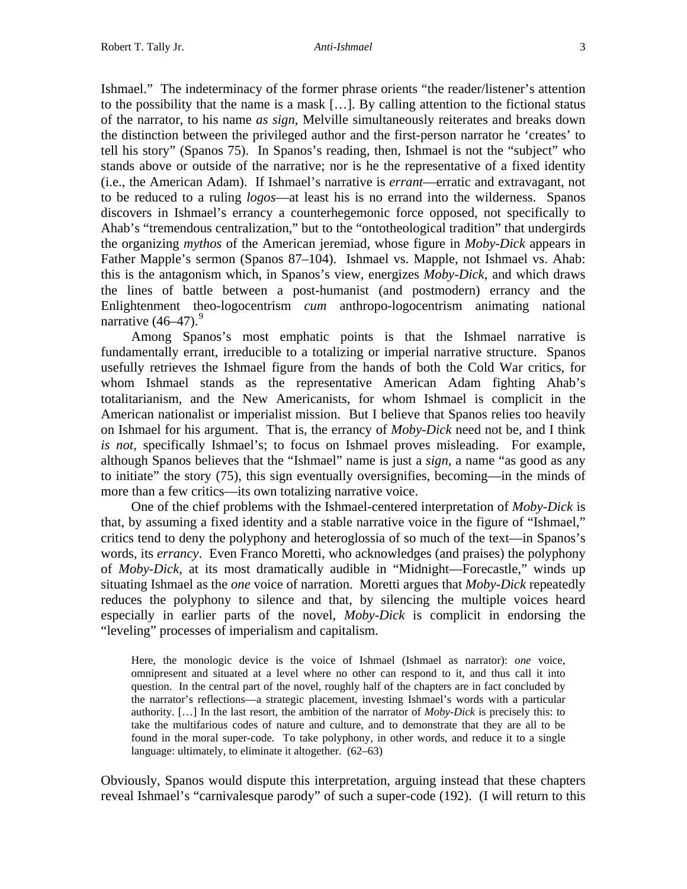Ishmael." The indeterminacy of the former phrase orients "the reader/listener's attention to the possibility that the name is a mask […]. By calling attention to the fictional status of the narrator, to his name *as sign*, Melville simultaneously reiterates and breaks down the distinction between the privileged author and the first-person narrator he 'creates' to tell his story" (Spanos 75). In Spanos's reading, then, Ishmael is not the "subject" who stands above or outside of the narrative; nor is he the representative of a fixed identity (i.e., the American Adam). If Ishmael's narrative is *errant*—erratic and extravagant, not to be reduced to a ruling *logos*—at least his is no errand into the wilderness. Spanos discovers in Ishmael's errancy a counterhegemonic force opposed, not specifically to Ahab's "tremendous centralization," but to the "ontotheological tradition" that undergirds the organizing *mythos* of the American jeremiad, whose figure in *Moby-Dick* appears in Father Mapple's sermon (Spanos 87–104). Ishmael vs. Mapple, not Ishmael vs. Ahab: this is the antagonism which, in Spanos's view, energizes *Moby-Dick*, and which draws the lines of battle between a post-humanist (and postmodern) errancy and the Enlightenment theo-logocentrism *cum* anthropo-logocentrism animating national narrative  $(46-47)$ .<sup>[9](#page-14-1)</sup>

 Among Spanos's most emphatic points is that the Ishmael narrative is fundamentally errant, irreducible to a totalizing or imperial narrative structure. Spanos usefully retrieves the Ishmael figure from the hands of both the Cold War critics, for whom Ishmael stands as the representative American Adam fighting Ahab's totalitarianism, and the New Americanists, for whom Ishmael is complicit in the American nationalist or imperialist mission. But I believe that Spanos relies too heavily on Ishmael for his argument. That is, the errancy of *Moby-Dick* need not be, and I think *is not*, specifically Ishmael's; to focus on Ishmael proves misleading. For example, although Spanos believes that the "Ishmael" name is just a *sign*, a name "as good as any to initiate" the story (75), this sign eventually oversignifies, becoming—in the minds of more than a few critics—its own totalizing narrative voice.

 One of the chief problems with the Ishmael-centered interpretation of *Moby-Dick* is that, by assuming a fixed identity and a stable narrative voice in the figure of "Ishmael," critics tend to deny the polyphony and heteroglossia of so much of the text—in Spanos's words, its *errancy*. Even Franco Moretti, who acknowledges (and praises) the polyphony of *Moby-Dick*, at its most dramatically audible in "Midnight—Forecastle," winds up situating Ishmael as the *one* voice of narration. Moretti argues that *Moby-Dick* repeatedly reduces the polyphony to silence and that, by silencing the multiple voices heard especially in earlier parts of the novel, *Moby-Dick* is complicit in endorsing the "leveling" processes of imperialism and capitalism.

Here, the monologic device is the voice of Ishmael (Ishmael as narrator): *one* voice, omnipresent and situated at a level where no other can respond to it, and thus call it into question. In the central part of the novel, roughly half of the chapters are in fact concluded by the narrator's reflections—a strategic placement, investing Ishmael's words with a particular authority. […] In the last resort, the ambition of the narrator of *Moby-Dick* is precisely this: to take the multifarious codes of nature and culture, and to demonstrate that they are all to be found in the moral super-code. To take polyphony, in other words, and reduce it to a single language: ultimately, to eliminate it altogether. (62–63)

Obviously, Spanos would dispute this interpretation, arguing instead that these chapters reveal Ishmael's "carnivalesque parody" of such a super-code (192). (I will return to this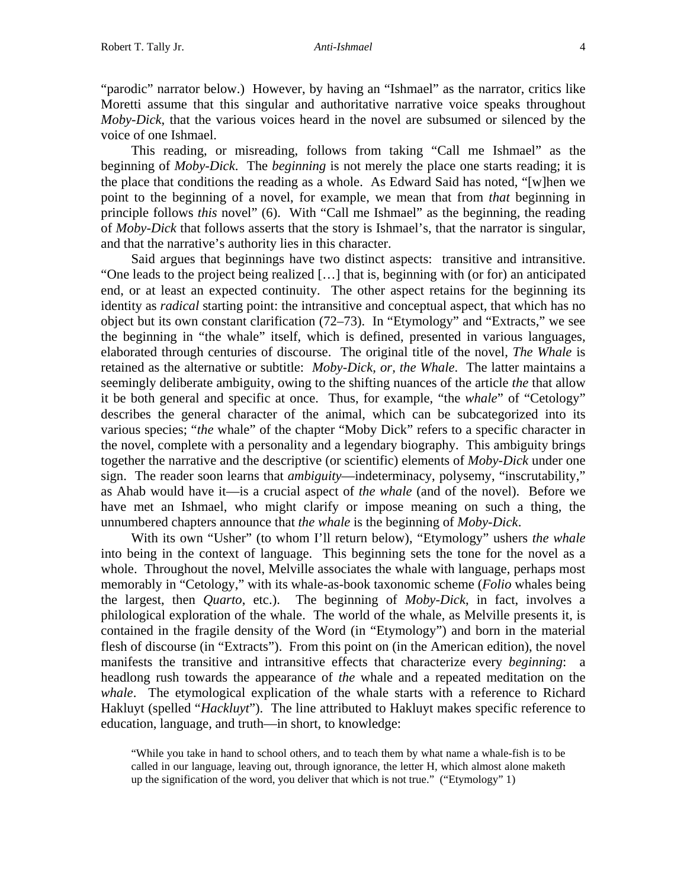"parodic" narrator below.) However, by having an "Ishmael" as the narrator, critics like Moretti assume that this singular and authoritative narrative voice speaks throughout *Moby-Dick*, that the various voices heard in the novel are subsumed or silenced by the voice of one Ishmael.

 This reading, or misreading, follows from taking "Call me Ishmael" as the beginning of *Moby-Dick*. The *beginning* is not merely the place one starts reading; it is the place that conditions the reading as a whole. As Edward Said has noted, "[w]hen we point to the beginning of a novel, for example, we mean that from *that* beginning in principle follows *this* novel" (6). With "Call me Ishmael" as the beginning, the reading of *Moby-Dick* that follows asserts that the story is Ishmael's, that the narrator is singular, and that the narrative's authority lies in this character.

 Said argues that beginnings have two distinct aspects: transitive and intransitive. "One leads to the project being realized […] that is, beginning with (or for) an anticipated end, or at least an expected continuity. The other aspect retains for the beginning its identity as *radical* starting point: the intransitive and conceptual aspect, that which has no object but its own constant clarification (72–73). In "Etymology" and "Extracts," we see the beginning in "the whale" itself, which is defined, presented in various languages, elaborated through centuries of discourse. The original title of the novel, *The Whale* is retained as the alternative or subtitle: *Moby-Dick, or, the Whale*. The latter maintains a seemingly deliberate ambiguity, owing to the shifting nuances of the article *the* that allow it be both general and specific at once. Thus, for example, "the *whale*" of "Cetology" describes the general character of the animal, which can be subcategorized into its various species; "*the* whale" of the chapter "Moby Dick" refers to a specific character in the novel, complete with a personality and a legendary biography. This ambiguity brings together the narrative and the descriptive (or scientific) elements of *Moby-Dick* under one sign. The reader soon learns that *ambiguity*—indeterminacy, polysemy, "inscrutability," as Ahab would have it—is a crucial aspect of *the whale* (and of the novel). Before we have met an Ishmael, who might clarify or impose meaning on such a thing, the unnumbered chapters announce that *the whale* is the beginning of *Moby-Dick*.

 With its own "Usher" (to whom I'll return below), "Etymology" ushers *the whale* into being in the context of language. This beginning sets the tone for the novel as a whole. Throughout the novel, Melville associates the whale with language, perhaps most memorably in "Cetology," with its whale-as-book taxonomic scheme (*Folio* whales being the largest, then *Quarto*, etc.). The beginning of *Moby-Dick*, in fact, involves a philological exploration of the whale. The world of the whale, as Melville presents it, is contained in the fragile density of the Word (in "Etymology") and born in the material flesh of discourse (in "Extracts"). From this point on (in the American edition), the novel manifests the transitive and intransitive effects that characterize every *beginning*: a headlong rush towards the appearance of *the* whale and a repeated meditation on the *whale*. The etymological explication of the whale starts with a reference to Richard Hakluyt (spelled "*Hackluyt*"). The line attributed to Hakluyt makes specific reference to education, language, and truth—in short, to knowledge:

<sup>&</sup>quot;While you take in hand to school others, and to teach them by what name a whale-fish is to be called in our language, leaving out, through ignorance, the letter H, which almost alone maketh up the signification of the word, you deliver that which is not true." ("Etymology" 1)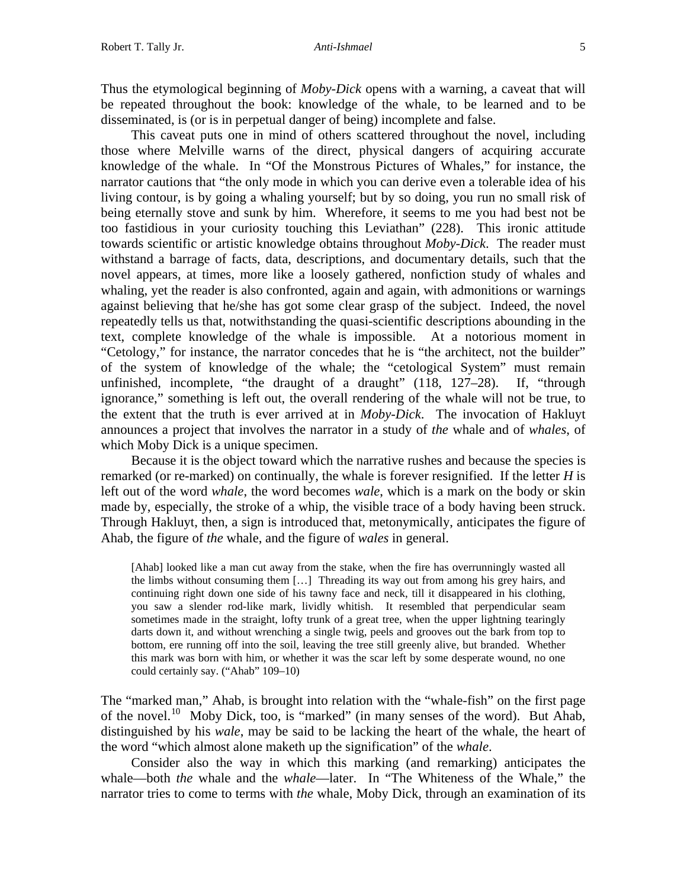Thus the etymological beginning of *Moby-Dick* opens with a warning, a caveat that will be repeated throughout the book: knowledge of the whale, to be learned and to be disseminated, is (or is in perpetual danger of being) incomplete and false.

 This caveat puts one in mind of others scattered throughout the novel, including those where Melville warns of the direct, physical dangers of acquiring accurate knowledge of the whale. In "Of the Monstrous Pictures of Whales," for instance, the narrator cautions that "the only mode in which you can derive even a tolerable idea of his living contour, is by going a whaling yourself; but by so doing, you run no small risk of being eternally stove and sunk by him. Wherefore, it seems to me you had best not be too fastidious in your curiosity touching this Leviathan" (228). This ironic attitude towards scientific or artistic knowledge obtains throughout *Moby-Dick*. The reader must withstand a barrage of facts, data, descriptions, and documentary details, such that the novel appears, at times, more like a loosely gathered, nonfiction study of whales and whaling, yet the reader is also confronted, again and again, with admonitions or warnings against believing that he/she has got some clear grasp of the subject. Indeed, the novel repeatedly tells us that, notwithstanding the quasi-scientific descriptions abounding in the text, complete knowledge of the whale is impossible. At a notorious moment in "Cetology," for instance, the narrator concedes that he is "the architect, not the builder" of the system of knowledge of the whale; the "cetological System" must remain unfinished, incomplete, "the draught of a draught" (118, 127–28). If, "through ignorance," something is left out, the overall rendering of the whale will not be true, to the extent that the truth is ever arrived at in *Moby-Dick*. The invocation of Hakluyt announces a project that involves the narrator in a study of *the* whale and of *whales*, of which Moby Dick is a unique specimen.

 Because it is the object toward which the narrative rushes and because the species is remarked (or re-marked) on continually, the whale is forever resignified. If the letter *H* is left out of the word *whale*, the word becomes *wale*, which is a mark on the body or skin made by, especially, the stroke of a whip, the visible trace of a body having been struck. Through Hakluyt, then, a sign is introduced that, metonymically, anticipates the figure of Ahab, the figure of *the* whale, and the figure of *wales* in general.

[Ahab] looked like a man cut away from the stake, when the fire has overrunningly wasted all the limbs without consuming them […] Threading its way out from among his grey hairs, and continuing right down one side of his tawny face and neck, till it disappeared in his clothing, you saw a slender rod-like mark, lividly whitish. It resembled that perpendicular seam sometimes made in the straight, lofty trunk of a great tree, when the upper lightning tearingly darts down it, and without wrenching a single twig, peels and grooves out the bark from top to bottom, ere running off into the soil, leaving the tree still greenly alive, but branded. Whether this mark was born with him, or whether it was the scar left by some desperate wound, no one could certainly say. ("Ahab" 109–10)

The "marked man," Ahab, is brought into relation with the "whale-fish" on the first page of the novel.<sup>[10](#page-14-1)</sup> Moby Dick, too, is "marked" (in many senses of the word). But Ahab, distinguished by his *wale*, may be said to be lacking the heart of the whale, the heart of the word "which almost alone maketh up the signification" of the *whale*.

 Consider also the way in which this marking (and remarking) anticipates the whale—both *the* whale and the *whale*—later. In "The Whiteness of the Whale," the narrator tries to come to terms with *the* whale, Moby Dick, through an examination of its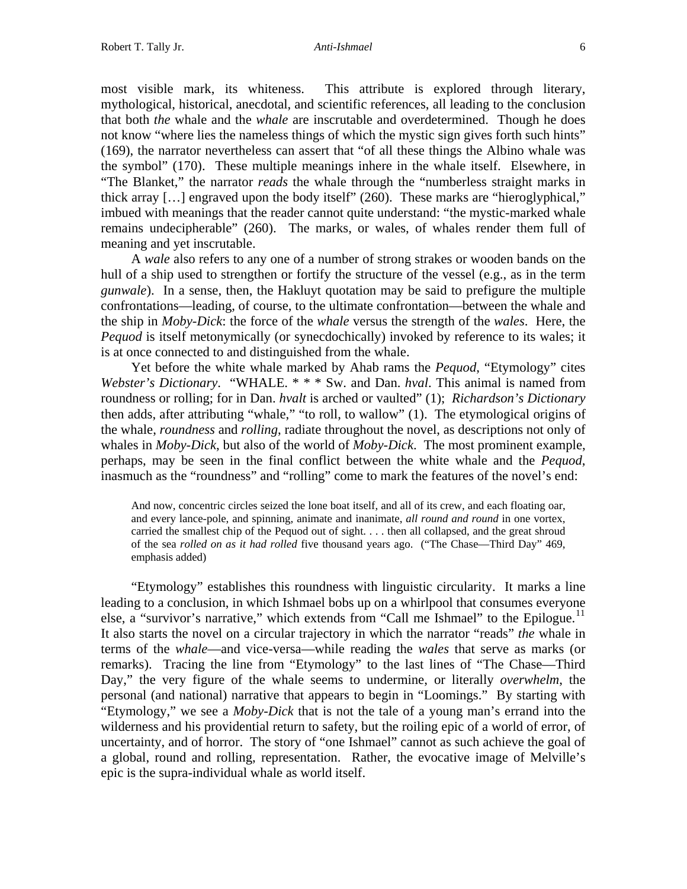most visible mark, its whiteness. This attribute is explored through literary, mythological, historical, anecdotal, and scientific references, all leading to the conclusion that both *the* whale and the *whale* are inscrutable and overdetermined. Though he does not know "where lies the nameless things of which the mystic sign gives forth such hints" (169), the narrator nevertheless can assert that "of all these things the Albino whale was the symbol" (170). These multiple meanings inhere in the whale itself. Elsewhere, in "The Blanket," the narrator *reads* the whale through the "numberless straight marks in thick array […] engraved upon the body itself" (260). These marks are "hieroglyphical," imbued with meanings that the reader cannot quite understand: "the mystic-marked whale remains undecipherable" (260). The marks, or wales, of whales render them full of meaning and yet inscrutable.

 A *wale* also refers to any one of a number of strong strakes or wooden bands on the hull of a ship used to strengthen or fortify the structure of the vessel (e.g., as in the term *gunwale*). In a sense, then, the Hakluyt quotation may be said to prefigure the multiple confrontations—leading, of course, to the ultimate confrontation—between the whale and the ship in *Moby-Dick*: the force of the *whale* versus the strength of the *wales*. Here, the *Pequod* is itself metonymically (or synecdochically) invoked by reference to its wales; it is at once connected to and distinguished from the whale.

 Yet before the white whale marked by Ahab rams the *Pequod*, "Etymology" cites *Webster's Dictionary*. "WHALE. \* \* \* Sw. and Dan. *hval*. This animal is named from roundness or rolling; for in Dan. *hvalt* is arched or vaulted" (1); *Richardson's Dictionary* then adds, after attributing "whale," "to roll, to wallow" (1). The etymological origins of the whale, *roundness* and *rolling*, radiate throughout the novel, as descriptions not only of whales in *Moby-Dick*, but also of the world of *Moby-Dick*. The most prominent example, perhaps, may be seen in the final conflict between the white whale and the *Pequod*, inasmuch as the "roundness" and "rolling" come to mark the features of the novel's end:

And now, concentric circles seized the lone boat itself, and all of its crew, and each floating oar, and every lance-pole, and spinning, animate and inanimate, *all round and round* in one vortex, carried the smallest chip of the Pequod out of sight. . . . then all collapsed, and the great shroud of the sea *rolled on as it had rolled* five thousand years ago. ("The Chase—Third Day" 469, emphasis added)

 "Etymology" establishes this roundness with linguistic circularity. It marks a line leading to a conclusion, in which Ishmael bobs up on a whirlpool that consumes everyone else, a "survivor's narrative," which extends from "Call me Ishmael" to the Epilogue.<sup>[11](#page-14-1)</sup> It also starts the novel on a circular trajectory in which the narrator "reads" *the* whale in terms of the *whale*—and vice-versa—while reading the *wales* that serve as marks (or remarks). Tracing the line from "Etymology" to the last lines of "The Chase—Third Day," the very figure of the whale seems to undermine, or literally *overwhelm*, the personal (and national) narrative that appears to begin in "Loomings." By starting with "Etymology," we see a *Moby-Dick* that is not the tale of a young man's errand into the wilderness and his providential return to safety, but the roiling epic of a world of error, of uncertainty, and of horror. The story of "one Ishmael" cannot as such achieve the goal of a global, round and rolling, representation. Rather, the evocative image of Melville's epic is the supra-individual whale as world itself.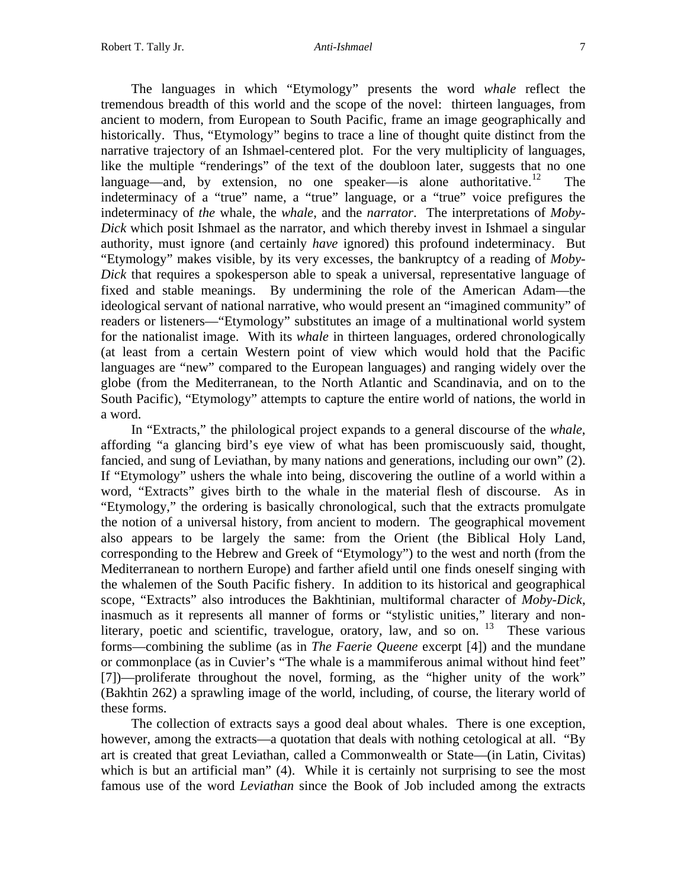The languages in which "Etymology" presents the word *whale* reflect the tremendous breadth of this world and the scope of the novel: thirteen languages, from ancient to modern, from European to South Pacific, frame an image geographically and historically. Thus, "Etymology" begins to trace a line of thought quite distinct from the narrative trajectory of an Ishmael-centered plot. For the very multiplicity of languages, like the multiple "renderings" of the text of the doubloon later, suggests that no one language—and, by extension, no one speaker—is alone authoritative.<sup>[12](#page-14-1)</sup> The indeterminacy of a "true" name, a "true" language, or a "true" voice prefigures the indeterminacy of *the* whale, the *whale*, and the *narrator*. The interpretations of *Moby-Dick* which posit Ishmael as the narrator, and which thereby invest in Ishmael a singular authority, must ignore (and certainly *have* ignored) this profound indeterminacy. But "Etymology" makes visible, by its very excesses, the bankruptcy of a reading of *Moby-Dick* that requires a spokesperson able to speak a universal, representative language of fixed and stable meanings. By undermining the role of the American Adam—the ideological servant of national narrative, who would present an "imagined community" of readers or listeners—"Etymology" substitutes an image of a multinational world system for the nationalist image. With its *whale* in thirteen languages, ordered chronologically (at least from a certain Western point of view which would hold that the Pacific languages are "new" compared to the European languages) and ranging widely over the globe (from the Mediterranean, to the North Atlantic and Scandinavia, and on to the South Pacific), "Etymology" attempts to capture the entire world of nations, the world in a word.

 In "Extracts," the philological project expands to a general discourse of the *whale*, affording "a glancing bird's eye view of what has been promiscuously said, thought, fancied, and sung of Leviathan, by many nations and generations, including our own" (2). If "Etymology" ushers the whale into being, discovering the outline of a world within a word, "Extracts" gives birth to the whale in the material flesh of discourse. As in "Etymology," the ordering is basically chronological, such that the extracts promulgate the notion of a universal history, from ancient to modern. The geographical movement also appears to be largely the same: from the Orient (the Biblical Holy Land, corresponding to the Hebrew and Greek of "Etymology") to the west and north (from the Mediterranean to northern Europe) and farther afield until one finds oneself singing with the whalemen of the South Pacific fishery. In addition to its historical and geographical scope, "Extracts" also introduces the Bakhtinian, multiformal character of *Moby-Dick*, inasmuch as it represents all manner of forms or "stylistic unities," literary and nonliterary, poetic and scientific, travelogue, oratory, law, and so on.  $13$  These various forms—combining the sublime (as in *The Faerie Queene* excerpt [4]) and the mundane or commonplace (as in Cuvier's "The whale is a mammiferous animal without hind feet" [7])—proliferate throughout the novel, forming, as the "higher unity of the work" (Bakhtin 262) a sprawling image of the world, including, of course, the literary world of these forms.

 The collection of extracts says a good deal about whales. There is one exception, however, among the extracts—a quotation that deals with nothing cetological at all. "By art is created that great Leviathan, called a Commonwealth or State—(in Latin, Civitas) which is but an artificial man" (4). While it is certainly not surprising to see the most famous use of the word *Leviathan* since the Book of Job included among the extracts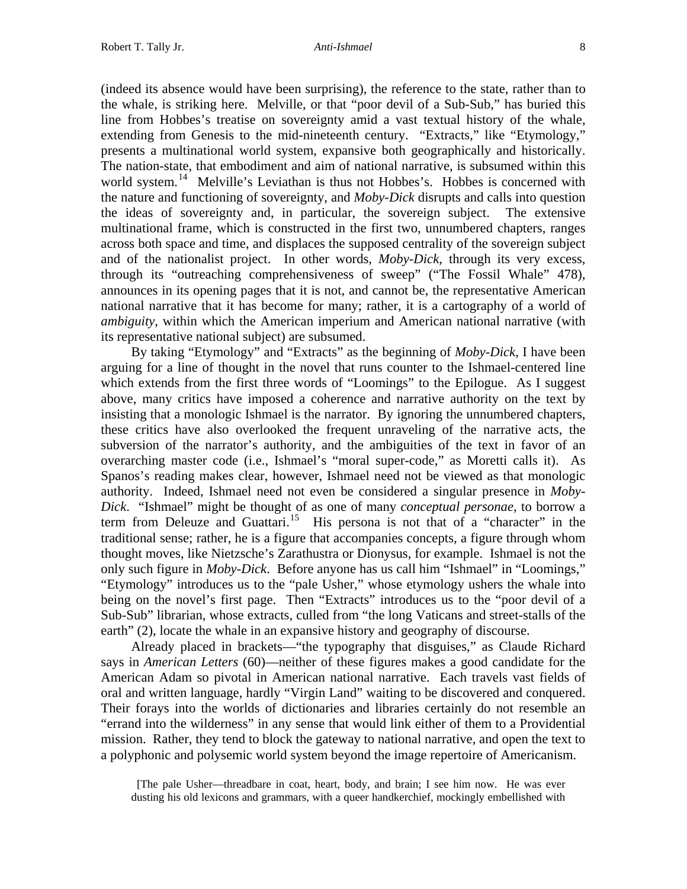(indeed its absence would have been surprising), the reference to the state, rather than to the whale, is striking here. Melville, or that "poor devil of a Sub-Sub," has buried this line from Hobbes's treatise on sovereignty amid a vast textual history of the whale, extending from Genesis to the mid-nineteenth century. "Extracts," like "Etymology," presents a multinational world system, expansive both geographically and historically. The nation-state, that embodiment and aim of national narrative, is subsumed within this world system.<sup>[14](#page-14-1)</sup> Melville's Leviathan is thus not Hobbes's. Hobbes is concerned with the nature and functioning of sovereignty, and *Moby-Dick* disrupts and calls into question the ideas of sovereignty and, in particular, the sovereign subject. The extensive multinational frame, which is constructed in the first two, unnumbered chapters, ranges across both space and time, and displaces the supposed centrality of the sovereign subject and of the nationalist project. In other words, *Moby-Dick*, through its very excess, through its "outreaching comprehensiveness of sweep" ("The Fossil Whale" 478), announces in its opening pages that it is not, and cannot be, the representative American national narrative that it has become for many; rather, it is a cartography of a world of *ambiguity*, within which the American imperium and American national narrative (with its representative national subject) are subsumed.

 By taking "Etymology" and "Extracts" as the beginning of *Moby-Dick*, I have been arguing for a line of thought in the novel that runs counter to the Ishmael-centered line which extends from the first three words of "Loomings" to the Epilogue. As I suggest above, many critics have imposed a coherence and narrative authority on the text by insisting that a monologic Ishmael is the narrator. By ignoring the unnumbered chapters, these critics have also overlooked the frequent unraveling of the narrative acts, the subversion of the narrator's authority, and the ambiguities of the text in favor of an overarching master code (i.e., Ishmael's "moral super-code," as Moretti calls it). As Spanos's reading makes clear, however, Ishmael need not be viewed as that monologic authority. Indeed, Ishmael need not even be considered a singular presence in *Moby-Dick*. "Ishmael" might be thought of as one of many *conceptual personae*, to borrow a term from Deleuze and Guattari.<sup>[15](#page-14-1)</sup> His persona is not that of a "character" in the traditional sense; rather, he is a figure that accompanies concepts, a figure through whom thought moves, like Nietzsche's Zarathustra or Dionysus, for example. Ishmael is not the only such figure in *Moby-Dick*. Before anyone has us call him "Ishmael" in "Loomings," "Etymology" introduces us to the "pale Usher," whose etymology ushers the whale into being on the novel's first page. Then "Extracts" introduces us to the "poor devil of a Sub-Sub" librarian, whose extracts, culled from "the long Vaticans and street-stalls of the earth" (2), locate the whale in an expansive history and geography of discourse.

 Already placed in brackets—"the typography that disguises," as Claude Richard says in *American Letters* (60)—neither of these figures makes a good candidate for the American Adam so pivotal in American national narrative. Each travels vast fields of oral and written language, hardly "Virgin Land" waiting to be discovered and conquered. Their forays into the worlds of dictionaries and libraries certainly do not resemble an "errand into the wilderness" in any sense that would link either of them to a Providential mission. Rather, they tend to block the gateway to national narrative, and open the text to a polyphonic and polysemic world system beyond the image repertoire of Americanism.

 [The pale Usher—threadbare in coat, heart, body, and brain; I see him now. He was ever dusting his old lexicons and grammars, with a queer handkerchief, mockingly embellished with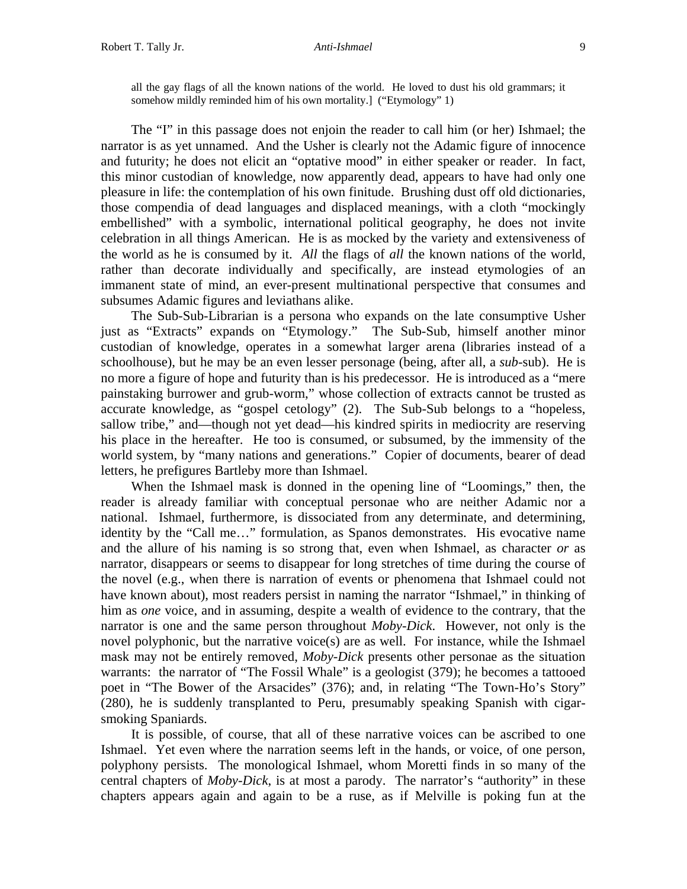all the gay flags of all the known nations of the world. He loved to dust his old grammars; it somehow mildly reminded him of his own mortality.] ("Etymology" 1)

 The "I" in this passage does not enjoin the reader to call him (or her) Ishmael; the narrator is as yet unnamed. And the Usher is clearly not the Adamic figure of innocence and futurity; he does not elicit an "optative mood" in either speaker or reader. In fact, this minor custodian of knowledge, now apparently dead, appears to have had only one pleasure in life: the contemplation of his own finitude. Brushing dust off old dictionaries, those compendia of dead languages and displaced meanings, with a cloth "mockingly embellished" with a symbolic, international political geography, he does not invite celebration in all things American. He is as mocked by the variety and extensiveness of the world as he is consumed by it. *All* the flags of *all* the known nations of the world, rather than decorate individually and specifically, are instead etymologies of an immanent state of mind, an ever-present multinational perspective that consumes and subsumes Adamic figures and leviathans alike.

 The Sub-Sub-Librarian is a persona who expands on the late consumptive Usher just as "Extracts" expands on "Etymology." The Sub-Sub, himself another minor custodian of knowledge, operates in a somewhat larger arena (libraries instead of a schoolhouse), but he may be an even lesser personage (being, after all, a *sub-*sub). He is no more a figure of hope and futurity than is his predecessor. He is introduced as a "mere painstaking burrower and grub-worm," whose collection of extracts cannot be trusted as accurate knowledge, as "gospel cetology" (2). The Sub-Sub belongs to a "hopeless, sallow tribe," and—though not yet dead—his kindred spirits in mediocrity are reserving his place in the hereafter. He too is consumed, or subsumed, by the immensity of the world system, by "many nations and generations." Copier of documents, bearer of dead letters, he prefigures Bartleby more than Ishmael.

 When the Ishmael mask is donned in the opening line of "Loomings," then, the reader is already familiar with conceptual personae who are neither Adamic nor a national. Ishmael, furthermore, is dissociated from any determinate, and determining, identity by the "Call me…" formulation, as Spanos demonstrates. His evocative name and the allure of his naming is so strong that, even when Ishmael, as character *or* as narrator, disappears or seems to disappear for long stretches of time during the course of the novel (e.g., when there is narration of events or phenomena that Ishmael could not have known about), most readers persist in naming the narrator "Ishmael," in thinking of him as *one* voice, and in assuming, despite a wealth of evidence to the contrary, that the narrator is one and the same person throughout *Moby-Dick*. However, not only is the novel polyphonic, but the narrative voice(s) are as well. For instance, while the Ishmael mask may not be entirely removed, *Moby-Dick* presents other personae as the situation warrants: the narrator of "The Fossil Whale" is a geologist (379); he becomes a tattooed poet in "The Bower of the Arsacides" (376); and, in relating "The Town-Ho's Story" (280), he is suddenly transplanted to Peru, presumably speaking Spanish with cigarsmoking Spaniards.

It is possible, of course, that all of these narrative voices can be ascribed to one Ishmael. Yet even where the narration seems left in the hands, or voice, of one person, polyphony persists. The monological Ishmael, whom Moretti finds in so many of the central chapters of *Moby-Dick*, is at most a parody. The narrator's "authority" in these chapters appears again and again to be a ruse, as if Melville is poking fun at the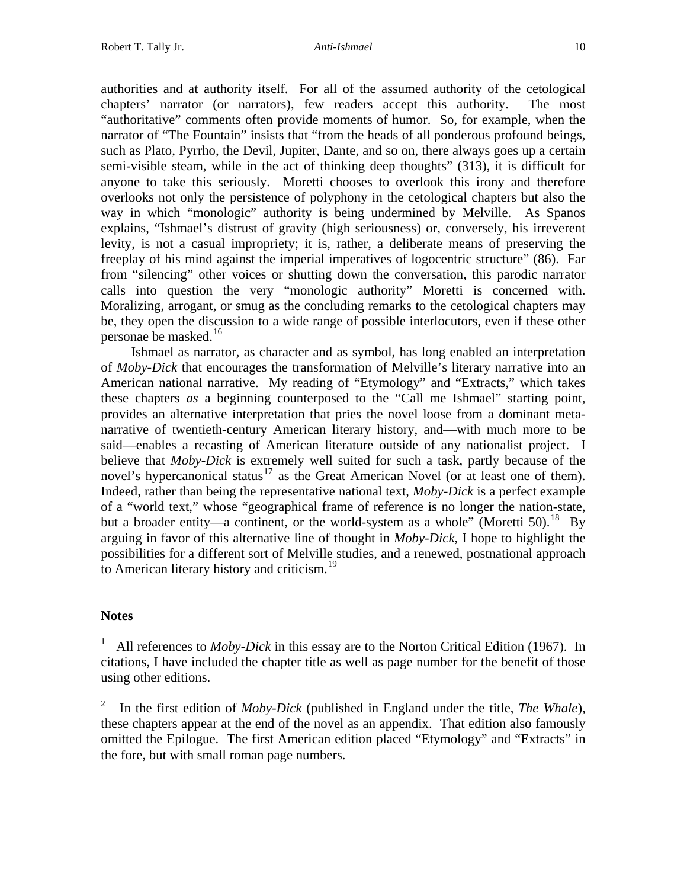authorities and at authority itself. For all of the assumed authority of the cetological chapters' narrator (or narrators), few readers accept this authority. The most "authoritative" comments often provide moments of humor. So, for example, when the narrator of "The Fountain" insists that "from the heads of all ponderous profound beings, such as Plato, Pyrrho, the Devil, Jupiter, Dante, and so on, there always goes up a certain semi-visible steam, while in the act of thinking deep thoughts" (313), it is difficult for anyone to take this seriously. Moretti chooses to overlook this irony and therefore overlooks not only the persistence of polyphony in the cetological chapters but also the way in which "monologic" authority is being undermined by Melville. As Spanos explains, "Ishmael's distrust of gravity (high seriousness) or, conversely, his irreverent levity, is not a casual impropriety; it is, rather, a deliberate means of preserving the freeplay of his mind against the imperial imperatives of logocentric structure" (86). Far from "silencing" other voices or shutting down the conversation, this parodic narrator calls into question the very "monologic authority" Moretti is concerned with. Moralizing, arrogant, or smug as the concluding remarks to the cetological chapters may be, they open the discussion to a wide range of possible interlocutors, even if these other personae be masked.[16](#page-14-1)

 Ishmael as narrator, as character and as symbol, has long enabled an interpretation of *Moby-Dick* that encourages the transformation of Melville's literary narrative into an American national narrative. My reading of "Etymology" and "Extracts," which takes these chapters *as* a beginning counterposed to the "Call me Ishmael" starting point, provides an alternative interpretation that pries the novel loose from a dominant metanarrative of twentieth-century American literary history, and—with much more to be said—enables a recasting of American literature outside of any nationalist project. I believe that *Moby-Dick* is extremely well suited for such a task, partly because of the novel's hypercanonical status<sup>[17](#page-14-2)</sup> as the Great American Novel (or at least one of them). Indeed, rather than being the representative national text, *Moby-Dick* is a perfect example of a "world text," whose "geographical frame of reference is no longer the nation-state, but a broader entity—a continent, or the world-system as a whole" (Moretti 50).<sup>[18](#page-14-3)</sup> By arguing in favor of this alternative line of thought in *Moby-Dick*, I hope to highlight the possibilities for a different sort of Melville studies, and a renewed, postnational approach to American literary history and criticism.<sup>[19](#page-14-4)</sup>

### **Notes**

 $\overline{a}$ 

<sup>1</sup> All references to *Moby-Dick* in this essay are to the Norton Critical Edition (1967). In citations, I have included the chapter title as well as page number for the benefit of those using other editions.

<sup>2</sup> In the first edition of *Moby-Dick* (published in England under the title, *The Whale*), these chapters appear at the end of the novel as an appendix. That edition also famously omitted the Epilogue. The first American edition placed "Etymology" and "Extracts" in the fore, but with small roman page numbers.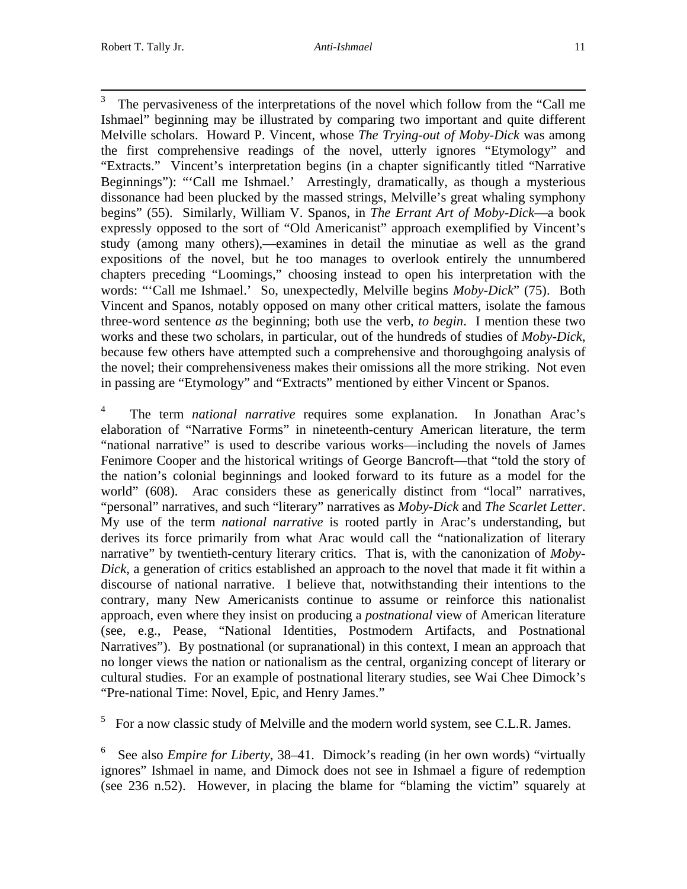$\frac{1}{3}$  The pervasiveness of the interpretations of the novel which follow from the "Call me Ishmael" beginning may be illustrated by comparing two important and quite different Melville scholars. Howard P. Vincent, whose *The Trying-out of Moby-Dick* was among the first comprehensive readings of the novel, utterly ignores "Etymology" and "Extracts." Vincent's interpretation begins (in a chapter significantly titled "Narrative Beginnings"): "'Call me Ishmael.' Arrestingly, dramatically, as though a mysterious dissonance had been plucked by the massed strings, Melville's great whaling symphony begins" (55). Similarly, William V. Spanos, in *The Errant Art of Moby-Dick*—a book expressly opposed to the sort of "Old Americanist" approach exemplified by Vincent's study (among many others),—examines in detail the minutiae as well as the grand expositions of the novel, but he too manages to overlook entirely the unnumbered chapters preceding "Loomings," choosing instead to open his interpretation with the words: "'Call me Ishmael.' So, unexpectedly, Melville begins *Moby-Dick*" (75). Both Vincent and Spanos, notably opposed on many other critical matters, isolate the famous three-word sentence *as* the beginning; both use the verb, *to begin*. I mention these two works and these two scholars, in particular, out of the hundreds of studies of *Moby-Dick*, because few others have attempted such a comprehensive and thoroughgoing analysis of the novel; their comprehensiveness makes their omissions all the more striking. Not even in passing are "Etymology" and "Extracts" mentioned by either Vincent or Spanos.

4 The term *national narrative* requires some explanation. In Jonathan Arac's elaboration of "Narrative Forms" in nineteenth-century American literature, the term "national narrative" is used to describe various works—including the novels of James Fenimore Cooper and the historical writings of George Bancroft—that "told the story of the nation's colonial beginnings and looked forward to its future as a model for the world" (608). Arac considers these as generically distinct from "local" narratives, "personal" narratives, and such "literary" narratives as *Moby-Dick* and *The Scarlet Letter*. My use of the term *national narrative* is rooted partly in Arac's understanding, but derives its force primarily from what Arac would call the "nationalization of literary narrative" by twentieth-century literary critics. That is, with the canonization of *Moby-Dick*, a generation of critics established an approach to the novel that made it fit within a discourse of national narrative. I believe that, notwithstanding their intentions to the contrary, many New Americanists continue to assume or reinforce this nationalist approach, even where they insist on producing a *postnational* view of American literature (see, e.g., Pease, "National Identities, Postmodern Artifacts, and Postnational Narratives"). By postnational (or supranational) in this context, I mean an approach that no longer views the nation or nationalism as the central, organizing concept of literary or cultural studies. For an example of postnational literary studies, see Wai Chee Dimock's "Pre-national Time: Novel, Epic, and Henry James."

 $5$  For a now classic study of Melville and the modern world system, see C.L.R. James.

6 See also *Empire for Liberty*, 38–41. Dimock's reading (in her own words) "virtually ignores" Ishmael in name, and Dimock does not see in Ishmael a figure of redemption (see 236 n.52). However, in placing the blame for "blaming the victim" squarely at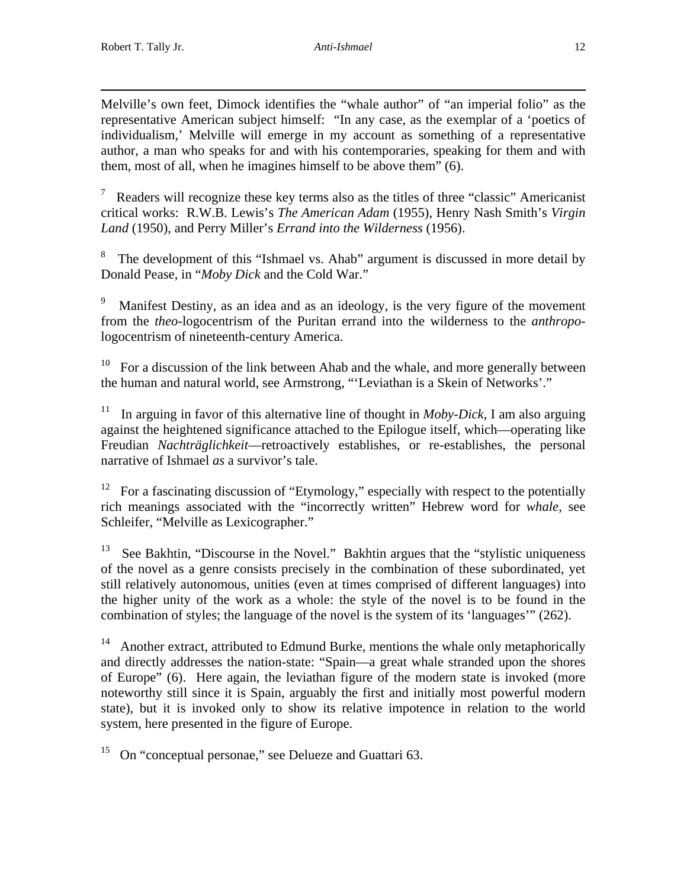$\overline{a}$ Melville's own feet, Dimock identifies the "whale author" of "an imperial folio" as the representative American subject himself: "In any case, as the exemplar of a 'poetics of individualism,' Melville will emerge in my account as something of a representative author, a man who speaks for and with his contemporaries, speaking for them and with them, most of all, when he imagines himself to be above them" (6).

7 Readers will recognize these key terms also as the titles of three "classic" Americanist critical works: R.W.B. Lewis's *The American Adam* (1955), Henry Nash Smith's *Virgin Land* (1950), and Perry Miller's *Errand into the Wilderness* (1956).

<sup>8</sup> The development of this "Ishmael vs. Ahab" argument is discussed in more detail by Donald Pease, in "*Moby Dick* and the Cold War."

9 Manifest Destiny, as an idea and as an ideology, is the very figure of the movement from the *theo*-logocentrism of the Puritan errand into the wilderness to the *anthropo*logocentrism of nineteenth-century America.

10 For a discussion of the link between Ahab and the whale, and more generally between the human and natural world, see Armstrong, "'Leviathan is a Skein of Networks'."

<sup>11</sup> In arguing in favor of this alternative line of thought in *Moby-Dick*, I am also arguing against the heightened significance attached to the Epilogue itself, which—operating like Freudian *Nachträglichkeit*—retroactively establishes, or re-establishes, the personal narrative of Ishmael *as* a survivor's tale.

<sup>12</sup> For a fascinating discussion of "Etymology," especially with respect to the potentially rich meanings associated with the "incorrectly written" Hebrew word for *whale*, see Schleifer, "Melville as Lexicographer."

<sup>13</sup> See Bakhtin, "Discourse in the Novel." Bakhtin argues that the "stylistic uniqueness of the novel as a genre consists precisely in the combination of these subordinated, yet still relatively autonomous, unities (even at times comprised of different languages) into the higher unity of the work as a whole: the style of the novel is to be found in the combination of styles; the language of the novel is the system of its 'languages'" (262).

 $14$  Another extract, attributed to Edmund Burke, mentions the whale only metaphorically and directly addresses the nation-state: "Spain—a great whale stranded upon the shores of Europe" (6). Here again, the leviathan figure of the modern state is invoked (more noteworthy still since it is Spain, arguably the first and initially most powerful modern state), but it is invoked only to show its relative impotence in relation to the world system, here presented in the figure of Europe.

<sup>15</sup> On "conceptual personae," see Delueze and Guattari 63.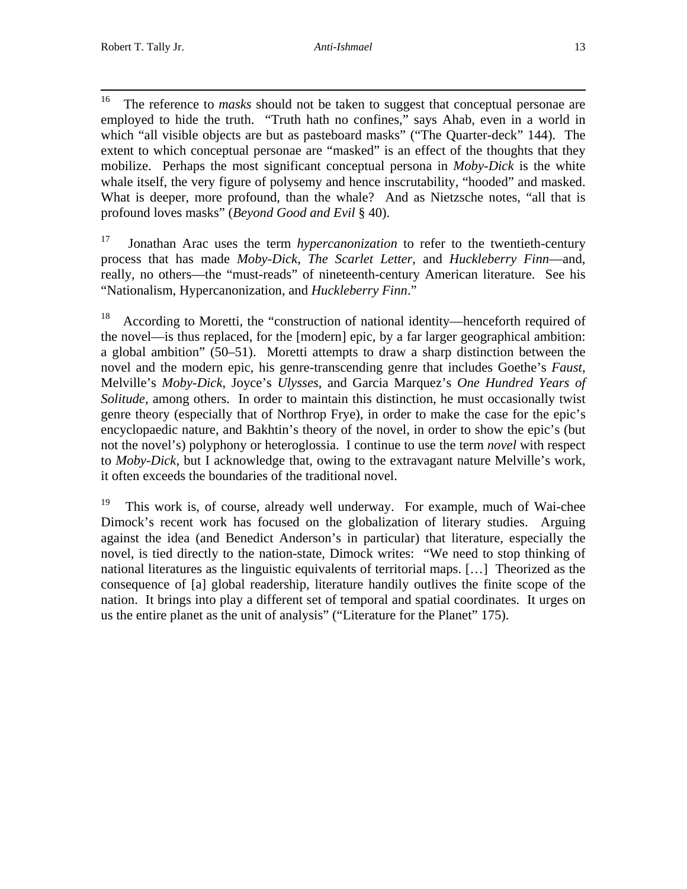<sup>16</sup> The reference to *masks* should not be taken to suggest that conceptual personae are employed to hide the truth. "Truth hath no confines," says Ahab, even in a world in which "all visible objects are but as pasteboard masks" ("The Quarter-deck" 144). The extent to which conceptual personae are "masked" is an effect of the thoughts that they mobilize. Perhaps the most significant conceptual persona in *Moby-Dick* is the white whale itself, the very figure of polysemy and hence inscrutability, "hooded" and masked. What is deeper, more profound, than the whale? And as Nietzsche notes, "all that is profound loves masks" (*Beyond Good and Evil* § 40).

17 Jonathan Arac uses the term *hypercanonization* to refer to the twentieth-century process that has made *Moby-Dick*, *The Scarlet Letter*, and *Huckleberry Finn*—and, really, no others—the "must-reads" of nineteenth-century American literature. See his "Nationalism, Hypercanonization, and *Huckleberry Finn*."

<sup>18</sup> According to Moretti, the "construction of national identity—henceforth required of the novel—is thus replaced, for the [modern] epic, by a far larger geographical ambition: a global ambition" (50–51). Moretti attempts to draw a sharp distinction between the novel and the modern epic, his genre-transcending genre that includes Goethe's *Faust*, Melville's *Moby-Dick*, Joyce's *Ulysses*, and Garcia Marquez's *One Hundred Years of Solitude*, among others. In order to maintain this distinction, he must occasionally twist genre theory (especially that of Northrop Frye), in order to make the case for the epic's encyclopaedic nature, and Bakhtin's theory of the novel, in order to show the epic's (but not the novel's) polyphony or heteroglossia. I continue to use the term *novel* with respect to *Moby-Dick*, but I acknowledge that, owing to the extravagant nature Melville's work, it often exceeds the boundaries of the traditional novel.

<sup>19</sup> This work is, of course, already well underway. For example, much of Wai-chee Dimock's recent work has focused on the globalization of literary studies. Arguing against the idea (and Benedict Anderson's in particular) that literature, especially the novel, is tied directly to the nation-state, Dimock writes: "We need to stop thinking of national literatures as the linguistic equivalents of territorial maps. […] Theorized as the consequence of [a] global readership, literature handily outlives the finite scope of the nation. It brings into play a different set of temporal and spatial coordinates. It urges on us the entire planet as the unit of analysis" ("Literature for the Planet" 175).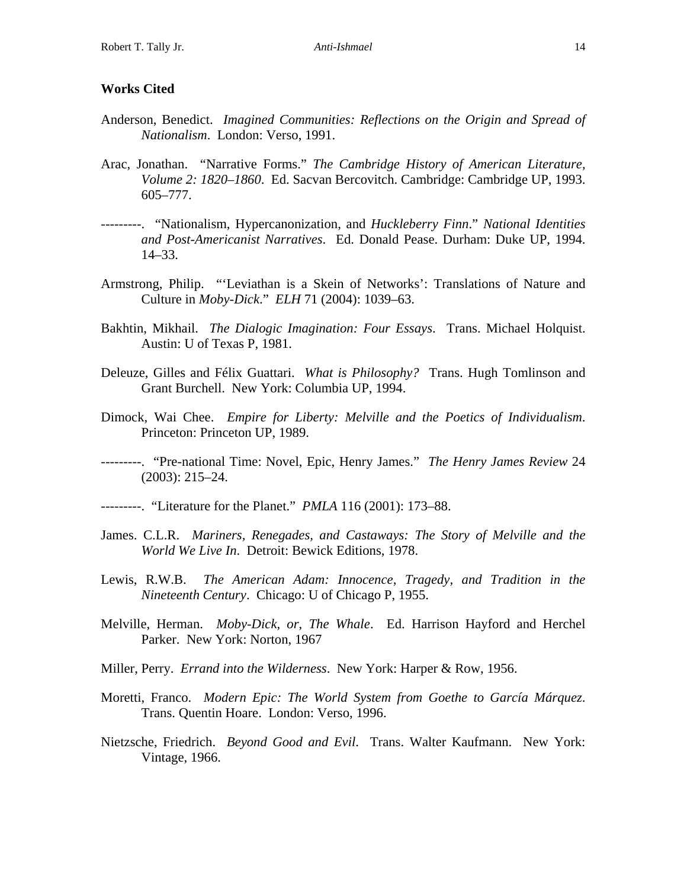### **Works Cited**

- Anderson, Benedict. *Imagined Communities: Reflections on the Origin and Spread of Nationalism*. London: Verso, 1991.
- Arac, Jonathan. "Narrative Forms." *The Cambridge History of American Literature, Volume 2: 1820–1860*. Ed. Sacvan Bercovitch. Cambridge: Cambridge UP, 1993. 605–777.
- ---------. "Nationalism, Hypercanonization, and *Huckleberry Finn*." *National Identities and Post-Americanist Narratives*. Ed. Donald Pease. Durham: Duke UP, 1994. 14–33.
- Armstrong, Philip. "'Leviathan is a Skein of Networks': Translations of Nature and Culture in *Moby-Dick*." *ELH* 71 (2004): 1039–63.
- Bakhtin, Mikhail. *The Dialogic Imagination: Four Essays*. Trans. Michael Holquist. Austin: U of Texas P, 1981.
- Deleuze, Gilles and Félix Guattari. *What is Philosophy?* Trans. Hugh Tomlinson and Grant Burchell. New York: Columbia UP, 1994.
- Dimock, Wai Chee. *Empire for Liberty: Melville and the Poetics of Individualism*. Princeton: Princeton UP, 1989.
- ---------. "Pre-national Time: Novel, Epic, Henry James." *The Henry James Review* 24 (2003): 215–24.
- ---------. "Literature for the Planet." *PMLA* 116 (2001): 173–88.
- James. C.L.R. *Mariners, Renegades, and Castaways: The Story of Melville and the World We Live In*. Detroit: Bewick Editions, 1978.
- Lewis, R.W.B. *The American Adam: Innocence, Tragedy, and Tradition in the Nineteenth Century*. Chicago: U of Chicago P, 1955.
- Melville, Herman. *Moby-Dick, or, The Whale*. Ed. Harrison Hayford and Herchel Parker. New York: Norton, 1967
- Miller, Perry. *Errand into the Wilderness*. New York: Harper & Row, 1956.
- Moretti, Franco. *Modern Epic: The World System from Goethe to García Márquez*. Trans. Quentin Hoare. London: Verso, 1996.
- Nietzsche, Friedrich. *Beyond Good and Evil*. Trans. Walter Kaufmann. New York: Vintage, 1966.